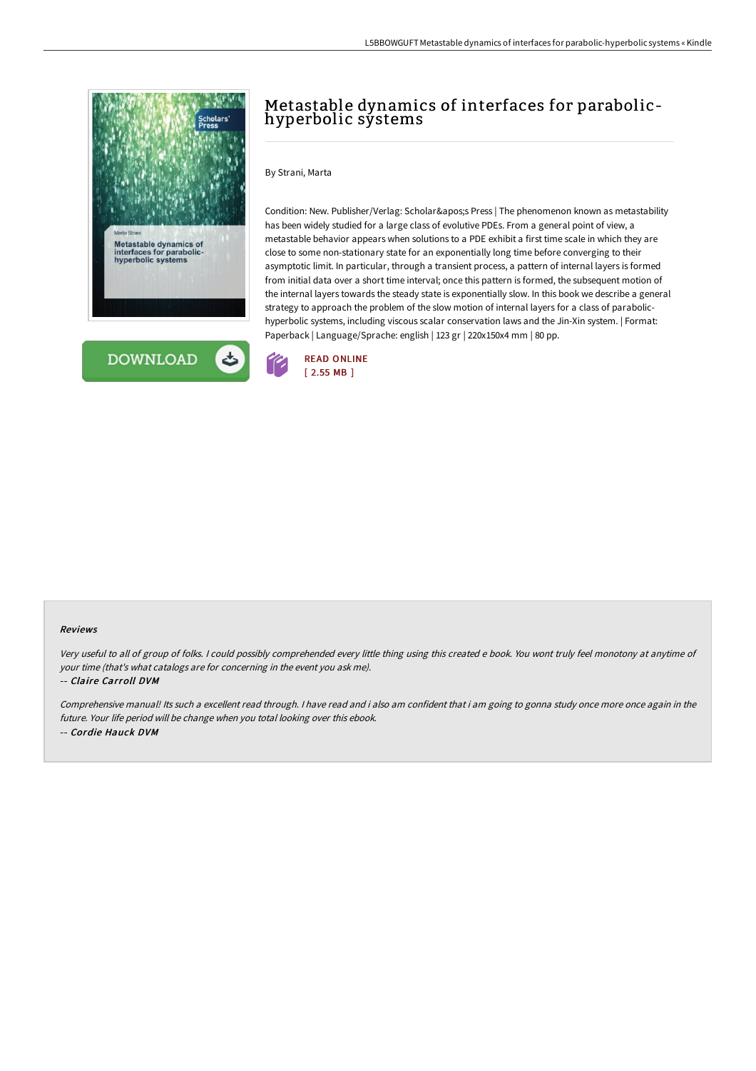



# Metastable dynamics of interfaces for parabolichyperbolic systems

### By Strani, Marta

Condition: New. Publisher/Verlag: Scholar's Press | The phenomenon known as metastability has been widely studied for a large class of evolutive PDEs. From a general point of view, a metastable behavior appears when solutions to a PDE exhibit a first time scale in which they are close to some non-stationary state for an exponentially long time before converging to their asymptotic limit. In particular, through a transient process, a pattern of internal layers is formed from initial data over a short time interval; once this pattern is formed, the subsequent motion of the internal layers towards the steady state is exponentially slow. In this book we describe a general strategy to approach the problem of the slow motion of internal layers for a class of parabolichyperbolic systems, including viscous scalar conservation laws and the Jin-Xin system. | Format: Paperback | Language/Sprache: english | 123 gr | 220x150x4 mm | 80 pp.



#### Reviews

Very useful to all of group of folks. <sup>I</sup> could possibly comprehended every little thing using this created <sup>e</sup> book. You wont truly feel monotony at anytime of your time (that's what catalogs are for concerning in the event you ask me).

#### -- Claire Carroll DVM

Comprehensive manual! Its such <sup>a</sup> excellent read through. <sup>I</sup> have read and i also am confident that i am going to gonna study once more once again in the future. Your life period will be change when you total looking over this ebook. -- Cordie Hauck DVM